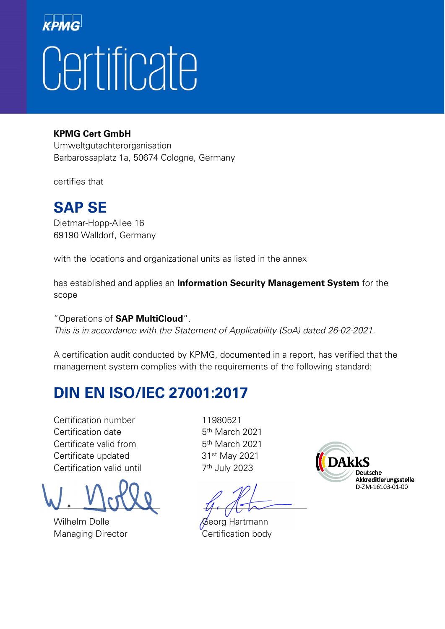### KPM Certificate

#### **KPMG Cert GmbH**

Umweltgutachterorganisation Barbarossaplatz 1a, 50674 Cologne, Germany

certifies that

### **SAP SE**

Dietmar-Hopp-Allee 16 69190 Walldorf, Germany

with the locations and organizational units as listed in the annex

has established and applies an **Information Security Management System** for the scope

"Operations of **SAP MultiCloud**".

This is in accordance with the Statement of Applicability (SoA) dated 26-02-2021.

A certification audit conducted by KPMG, documented in a report, has verified that the management system complies with the requirements of the following standard:

### **DIN EN ISO/IEC 27001:2017**

Certification number 11980521 Certification date 5<sup>th</sup> March 2021 Certificate valid from 5th March 2021 Certificate updated 31<sup>st</sup> May 2021 Certification valid until 7<sup>th</sup> July 2023

 $\Box$ 

Wilhelm Dolle **Georg Hartmann** Managing Director **Certification body** 

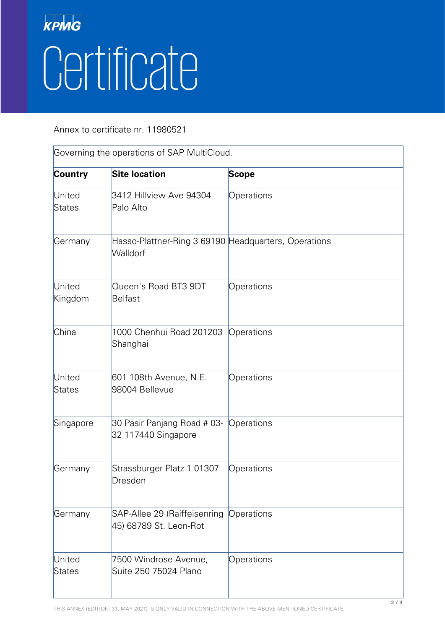# KPMG Certificate

Annex to certificate nr. 11980521

| Governing the operations of SAP MultiCloud. |                                                                  |              |  |
|---------------------------------------------|------------------------------------------------------------------|--------------|--|
| <b>Country</b>                              | <b>Site location</b>                                             | <b>Scope</b> |  |
| United<br>States                            | 3412 Hillview Ave 94304<br>Palo Alto                             | Operations   |  |
| Germany                                     | Hasso-Plattner-Ring 3 69190 Headquarters, Operations<br>Walldorf |              |  |
| United<br>Kingdom                           | Queen's Road BT3 9DT<br>Belfast                                  | Operations   |  |
| China                                       | 1000 Chenhui Road 201203<br>Shanghai                             | Operations   |  |
| United<br>States                            | 601 108th Avenue, N.E.<br>98004 Bellevue                         | Operations   |  |
| Singapore                                   | 30 Pasir Panjang Road # 03-<br>32 117440 Singapore               | Operations   |  |
| Germany                                     | Strassburger Platz 1 01307<br>Dresden                            | Operations   |  |
| Germany                                     | SAP-Allee 29 (Raiffeisenring<br>45) 68789 St. Leon-Rot           | Operations   |  |
| United<br><b>States</b>                     | 7500 Windrose Avenue,<br>Suite 250 75024 Plano                   | Operations   |  |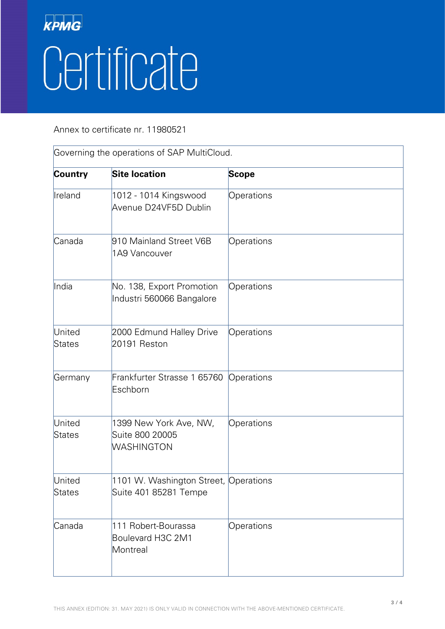# KPMG Certificate

Annex to certificate nr. 11980521

| Governing the operations of SAP MultiCloud. |                                                                |              |  |
|---------------------------------------------|----------------------------------------------------------------|--------------|--|
| Country                                     | <b>Site location</b>                                           | <b>Scope</b> |  |
| Ireland                                     | 1012 - 1014 Kingswood<br>Avenue D24VF5D Dublin                 | Operations   |  |
| Canada                                      | 910 Mainland Street V6B<br>1A9 Vancouver                       | Operations   |  |
| India                                       | No. 138, Export Promotion<br>Industri 560066 Bangalore         | Operations   |  |
| United<br>States                            | 2000 Edmund Halley Drive<br>20191 Reston                       | Operations   |  |
| Germany                                     | Frankfurter Strasse 1 65760<br>Eschborn                        | Operations   |  |
| United<br>States                            | 1399 New York Ave, NW,<br>Suite 800 20005<br>WASHINGTON        | Operations   |  |
| United<br>States                            | 1101 W. Washington Street, Operations<br>Suite 401 85281 Tempe |              |  |
| Canada                                      | 111 Robert-Bourassa<br>Boulevard H3C 2M1<br>Montreal           | Operations   |  |